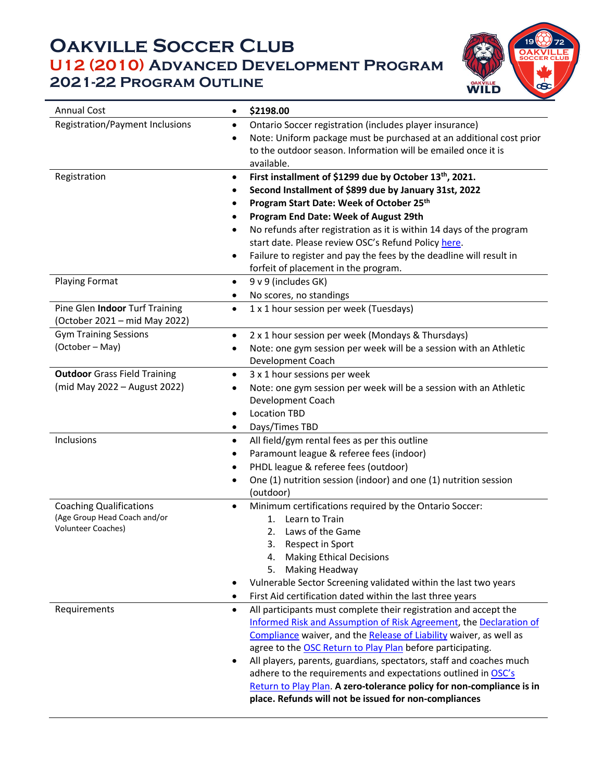## **Oakville Soccer Club U12 (2010) Advanced Development Program 2021-22 Program Outline**



| <b>Annual Cost</b>                                             | \$2198.00<br>$\bullet$                                                                                                                   |
|----------------------------------------------------------------|------------------------------------------------------------------------------------------------------------------------------------------|
| Registration/Payment Inclusions                                | Ontario Soccer registration (includes player insurance)<br>$\bullet$                                                                     |
|                                                                | Note: Uniform package must be purchased at an additional cost prior<br>$\bullet$                                                         |
|                                                                | to the outdoor season. Information will be emailed once it is                                                                            |
|                                                                | available.                                                                                                                               |
| Registration                                                   | First installment of \$1299 due by October 13th, 2021.<br>$\bullet$                                                                      |
|                                                                | Second Installment of \$899 due by January 31st, 2022<br>٠                                                                               |
|                                                                | Program Start Date: Week of October 25th<br>٠                                                                                            |
|                                                                | Program End Date: Week of August 29th<br>$\bullet$                                                                                       |
|                                                                | No refunds after registration as it is within 14 days of the program<br>$\bullet$<br>start date. Please review OSC's Refund Policy here. |
|                                                                | Failure to register and pay the fees by the deadline will result in<br>٠                                                                 |
|                                                                | forfeit of placement in the program.                                                                                                     |
| <b>Playing Format</b>                                          | 9 v 9 (includes GK)<br>$\bullet$                                                                                                         |
|                                                                | No scores, no standings<br>٠                                                                                                             |
| Pine Glen Indoor Turf Training                                 | 1 x 1 hour session per week (Tuesdays)<br>$\bullet$                                                                                      |
| (October 2021 – mid May 2022)                                  |                                                                                                                                          |
| <b>Gym Training Sessions</b>                                   | 2 x 1 hour session per week (Mondays & Thursdays)<br>$\bullet$                                                                           |
| (October – May)                                                | Note: one gym session per week will be a session with an Athletic<br>$\bullet$                                                           |
|                                                                | Development Coach                                                                                                                        |
| <b>Outdoor</b> Grass Field Training                            | 3 x 1 hour sessions per week<br>$\bullet$                                                                                                |
| (mid May 2022 - August 2022)                                   | Note: one gym session per week will be a session with an Athletic<br>$\bullet$                                                           |
|                                                                | Development Coach                                                                                                                        |
|                                                                | <b>Location TBD</b><br>$\bullet$                                                                                                         |
|                                                                | Days/Times TBD<br>$\bullet$                                                                                                              |
| Inclusions                                                     | All field/gym rental fees as per this outline<br>$\bullet$                                                                               |
|                                                                | Paramount league & referee fees (indoor)<br>$\bullet$                                                                                    |
|                                                                | PHDL league & referee fees (outdoor)<br>$\bullet$                                                                                        |
|                                                                | One (1) nutrition session (indoor) and one (1) nutrition session<br>$\bullet$                                                            |
|                                                                | (outdoor)                                                                                                                                |
| <b>Coaching Qualifications</b><br>(Age Group Head Coach and/or | Minimum certifications required by the Ontario Soccer:<br>$\bullet$                                                                      |
| <b>Volunteer Coaches)</b>                                      | Learn to Train<br>1.<br>Laws of the Game                                                                                                 |
|                                                                | 2.<br>3.<br>Respect in Sport                                                                                                             |
|                                                                | <b>Making Ethical Decisions</b><br>4.                                                                                                    |
|                                                                | Making Headway<br>5.                                                                                                                     |
|                                                                | Vulnerable Sector Screening validated within the last two years<br>$\bullet$                                                             |
|                                                                | First Aid certification dated within the last three years<br>$\bullet$                                                                   |
| Requirements                                                   | All participants must complete their registration and accept the<br>$\bullet$                                                            |
|                                                                | Informed Risk and Assumption of Risk Agreement, the Declaration of                                                                       |
|                                                                | Compliance waiver, and the Release of Liability waiver, as well as                                                                       |
|                                                                | agree to the OSC Return to Play Plan before participating.                                                                               |
|                                                                | All players, parents, guardians, spectators, staff and coaches much<br>$\bullet$                                                         |
|                                                                | adhere to the requirements and expectations outlined in OSC's                                                                            |
|                                                                | Return to Play Plan. A zero-tolerance policy for non-compliance is in                                                                    |
|                                                                | place. Refunds will not be issued for non-compliances                                                                                    |